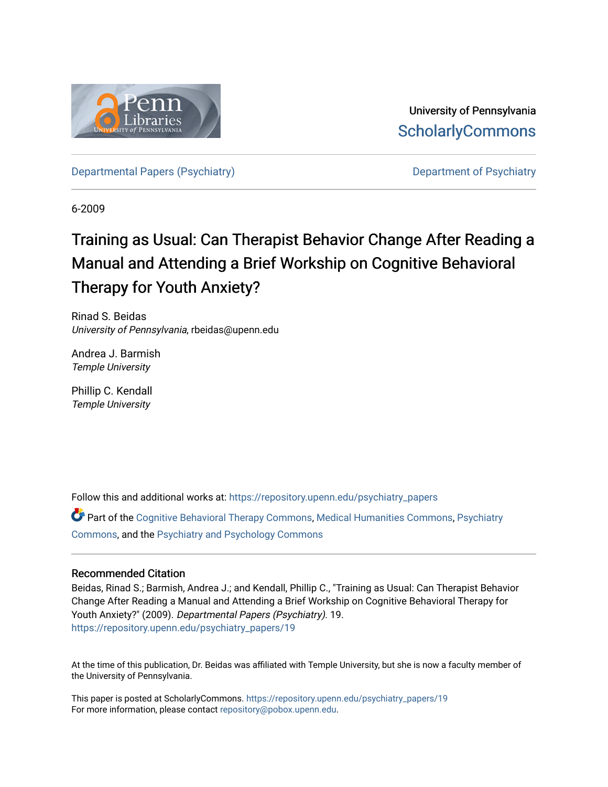

University of Pennsylvania **ScholarlyCommons** 

[Departmental Papers \(Psychiatry\)](https://repository.upenn.edu/psychiatry_papers) [Department of Psychiatry](https://repository.upenn.edu/psychiatry) Department of Psychiatry

6-2009

# Training as Usual: Can Therapist Behavior Change After Reading a Manual and Attending a Brief Workship on Cognitive Behavioral Therapy for Youth Anxiety?

Rinad S. Beidas University of Pennsylvania, rbeidas@upenn.edu

Andrea J. Barmish Temple University

Phillip C. Kendall Temple University

Follow this and additional works at: [https://repository.upenn.edu/psychiatry\\_papers](https://repository.upenn.edu/psychiatry_papers?utm_source=repository.upenn.edu%2Fpsychiatry_papers%2F19&utm_medium=PDF&utm_campaign=PDFCoverPages)

Part of the [Cognitive Behavioral Therapy Commons](http://network.bepress.com/hgg/discipline/1078?utm_source=repository.upenn.edu%2Fpsychiatry_papers%2F19&utm_medium=PDF&utm_campaign=PDFCoverPages), [Medical Humanities Commons](http://network.bepress.com/hgg/discipline/1303?utm_source=repository.upenn.edu%2Fpsychiatry_papers%2F19&utm_medium=PDF&utm_campaign=PDFCoverPages), [Psychiatry](http://network.bepress.com/hgg/discipline/704?utm_source=repository.upenn.edu%2Fpsychiatry_papers%2F19&utm_medium=PDF&utm_campaign=PDFCoverPages)  [Commons](http://network.bepress.com/hgg/discipline/704?utm_source=repository.upenn.edu%2Fpsychiatry_papers%2F19&utm_medium=PDF&utm_campaign=PDFCoverPages), and the [Psychiatry and Psychology Commons](http://network.bepress.com/hgg/discipline/908?utm_source=repository.upenn.edu%2Fpsychiatry_papers%2F19&utm_medium=PDF&utm_campaign=PDFCoverPages) 

### Recommended Citation

Beidas, Rinad S.; Barmish, Andrea J.; and Kendall, Phillip C., "Training as Usual: Can Therapist Behavior Change After Reading a Manual and Attending a Brief Workship on Cognitive Behavioral Therapy for Youth Anxiety?" (2009). Departmental Papers (Psychiatry). 19. [https://repository.upenn.edu/psychiatry\\_papers/19](https://repository.upenn.edu/psychiatry_papers/19?utm_source=repository.upenn.edu%2Fpsychiatry_papers%2F19&utm_medium=PDF&utm_campaign=PDFCoverPages) 

At the time of this publication, Dr. Beidas was affiliated with Temple University, but she is now a faculty member of the University of Pennsylvania.

This paper is posted at ScholarlyCommons. [https://repository.upenn.edu/psychiatry\\_papers/19](https://repository.upenn.edu/psychiatry_papers/19) For more information, please contact [repository@pobox.upenn.edu.](mailto:repository@pobox.upenn.edu)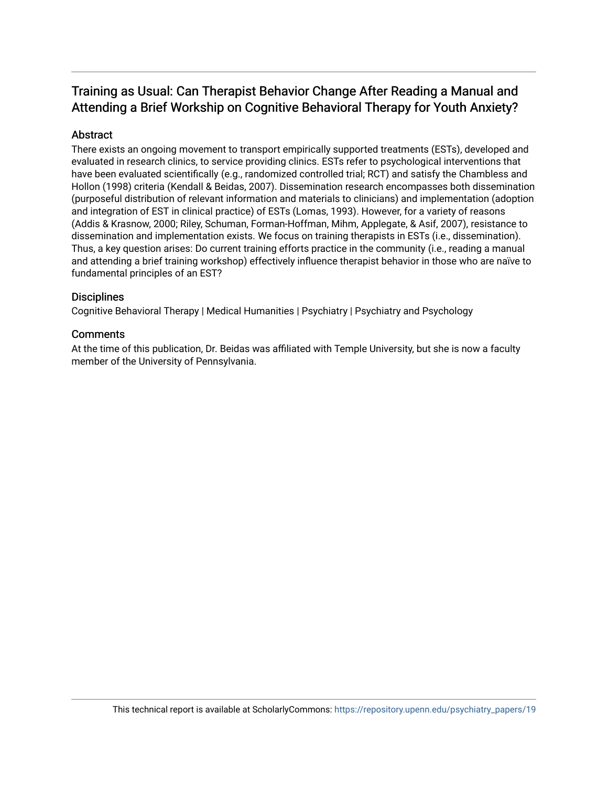## Training as Usual: Can Therapist Behavior Change After Reading a Manual and Attending a Brief Workship on Cognitive Behavioral Therapy for Youth Anxiety?

## Abstract

There exists an ongoing movement to transport empirically supported treatments (ESTs), developed and evaluated in research clinics, to service providing clinics. ESTs refer to psychological interventions that have been evaluated scientifically (e.g., randomized controlled trial; RCT) and satisfy the Chambless and Hollon (1998) criteria (Kendall & Beidas, 2007). Dissemination research encompasses both dissemination (purposeful distribution of relevant information and materials to clinicians) and implementation (adoption and integration of EST in clinical practice) of ESTs (Lomas, 1993). However, for a variety of reasons (Addis & Krasnow, 2000; Riley, Schuman, Forman-Hoffman, Mihm, Applegate, & Asif, 2007), resistance to dissemination and implementation exists. We focus on training therapists in ESTs (i.e., dissemination). Thus, a key question arises: Do current training efforts practice in the community (i.e., reading a manual and attending a brief training workshop) effectively influence therapist behavior in those who are naïve to fundamental principles of an EST?

### **Disciplines**

Cognitive Behavioral Therapy | Medical Humanities | Psychiatry | Psychiatry and Psychology

### **Comments**

At the time of this publication, Dr. Beidas was affiliated with Temple University, but she is now a faculty member of the University of Pennsylvania.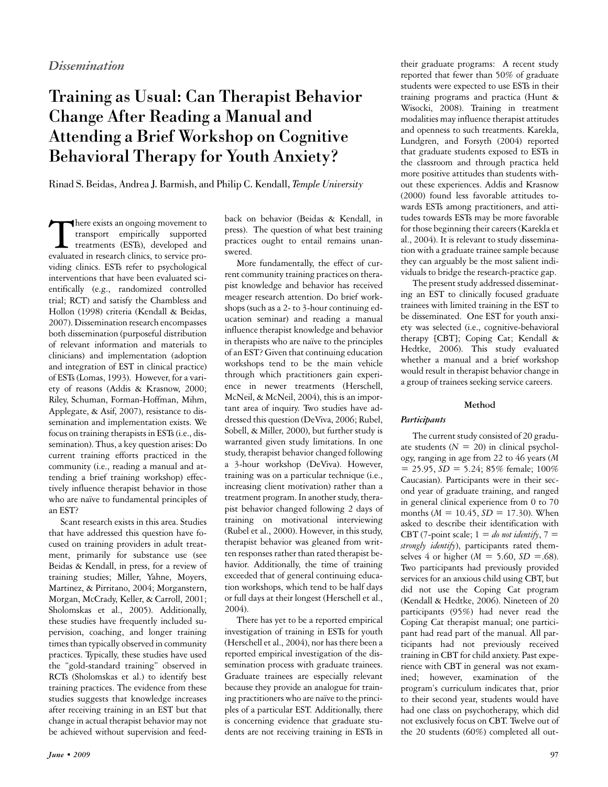## Training as Usual: Can Therapist Behavior Change After Reading a Manual and Attending a Brief Workshop on Cognitive Behavioral Therapy for Youth Anxiety?

Rinad S. Beidas, Andrea J. Barmish, and Philip C. Kendall, *Temple University*

There exists an ongoing movement to<br>transport empirically supported<br>treatments (ESTs), developed and<br>evaluated in research clinics to service protransport empirically supported treatments (ESTs), developed and evaluated in research clinics, to service providing clinics. ESTs refer to psychological interventions that have been evaluated scientifically (e.g., randomized controlled trial; RCT) and satisfy the Chambless and Hollon (1998) criteria (Kendall & Beidas, 2007). Dissemination research encompasses both dissemination (purposeful distribution of relevant information and materials to clinicians) and implementation (adoption and integration of EST in clinical practice) of ESTs (Lomas, 1993). However, for a variety of reasons (Addis & Krasnow, 2000; Riley, Schuman, Forman-Hoffman, Mihm, Applegate, & Asif, 2007), resistance to dissemination and implementation exists. We focus on training therapists in ESTs (i.e., dissemination). Thus, a key question arises: Do current training efforts practiced in the community (i.e., reading a manual and attending a brief training workshop) effectively influence therapist behavior in those who are naïve to fundamental principles of an EST?

Scant research exists in this area. Studies that have addressed this question have focused on training providers in adult treatment, primarily for substance use (see Beidas & Kendall, in press, for a review of training studies; Miller, Yahne, Moyers, Martinez, & Pirritano, 2004; Morganstern, Morgan, McCrady, Keller, & Carroll, 2001; Sholomskas et al., 2005). Additionally, these studies have frequently included supervision, coaching, and longer training times than typically observed in community practices. Typically, these studies have used the "gold-standard training" observed in RCTs (Sholomskas et al.) to identify best training practices. The evidence from these studies suggests that knowledge increases after receiving training in an EST but that change in actual therapist behavior may not be achieved without supervision and feed-

back on behavior (Beidas & Kendall, in press). The question of what best training practices ought to entail remains unanswered.

More fundamentally, the effect of current community training practices on therapist knowledge and behavior has received meager research attention. Do brief workshops (such as a 2- to 3-hour continuing education seminar) and reading a manual influence therapist knowledge and behavior in therapists who are naïve to the principles of an EST? Given that continuing education workshops tend to be the main vehicle through which practitioners gain experience in newer treatments (Herschell, McNeil, & McNeil, 2004), this is an important area of inquiry. Two studies have addressed this question (DeViva, 2006; Rubel, Sobell, & Miller, 2000), but further study is warranted given study limitations. In one study, therapist behavior changed following a 3-hour workshop (DeViva). However, training was on a particular technique (i.e., increasing client motivation) rather than a treatment program. In another study, therapist behavior changed following 2 days of training on motivational interviewing (Rubel et al., 2000). However, in this study, therapist behavior was gleaned from written responses rather than rated therapist behavior. Additionally, the time of training exceeded that of general continuing education workshops, which tend to be half days or full days at their longest (Herschell et al., 2004).

There has yet to be a reported empirical investigation of training in ESTs for youth (Herschell et al., 2004), nor has there been a reported empirical investigation of the dissemination process with graduate trainees. Graduate trainees are especially relevant because they provide an analogue for training practitioners who are naïve to the principles of a particular EST. Additionally, there is concerning evidence that graduate students are not receiving training in ESTs in

their graduate programs: A recent study reported that fewer than 50% of graduate students were expected to use ESTs in their training programs and practica (Hunt & Wisocki, 2008). Training in treatment modalities may influence therapist attitudes and openness to such treatments. Karekla, Lundgren, and Forsyth (2004) reported that graduate students exposed to ESTs in the classroom and through practica held more positive attitudes than students without these experiences. Addis and Krasnow (2000) found less favorable attitudes towards ESTs among practitioners, and attitudes towards ESTs may be more favorable for those beginning their careers (Karekla et al., 2004). It is relevant to study dissemination with a graduate trainee sample because they can arguably be the most salient individuals to bridge the research-practice gap.

The present study addressed disseminating an EST to clinically focused graduate trainees with limited training in the EST to be disseminated. One EST for youth anxiety was selected (i.e., cognitive-behavioral therapy [CBT]; Coping Cat; Kendall & Hedtke, 2006). This study evaluated whether a manual and a brief workshop would result in therapist behavior change in a group of trainees seeking service careers.

#### **Method**

#### *Participants*

The current study consisted of 20 graduate students  $(N = 20)$  in clinical psychology, ranging in age from 22 to 46 years (*M*  $= 25.95$ ,  $SD = 5.24$ ; 85% female; 100% Caucasian). Participants were in their second year of graduate training, and ranged in general clinical experience from 0 to 70 months (*M* = 10.45, *SD* = 17.30). When asked to describe their identification with CBT (7-point scale;  $1 =$  *do not identify*,  $7 =$ *strongly identify*), participants rated themselves 4 or higher ( $M = 5.60$ ,  $SD = .68$ ). Two participants had previously provided services for an anxious child using CBT, but did not use the Coping Cat program (Kendall & Hedtke, 2006). Nineteen of 20 participants (95%) had never read the Coping Cat therapist manual; one participant had read part of the manual. All participants had not previously received training in CBT for child anxiety. Past experience with CBT in general was not examined; however, examination of the program's curriculum indicates that, prior to their second year, students would have had one class on psychotherapy, which did not exclusively focus on CBT. Twelve out of the 20 students (60%) completed all out-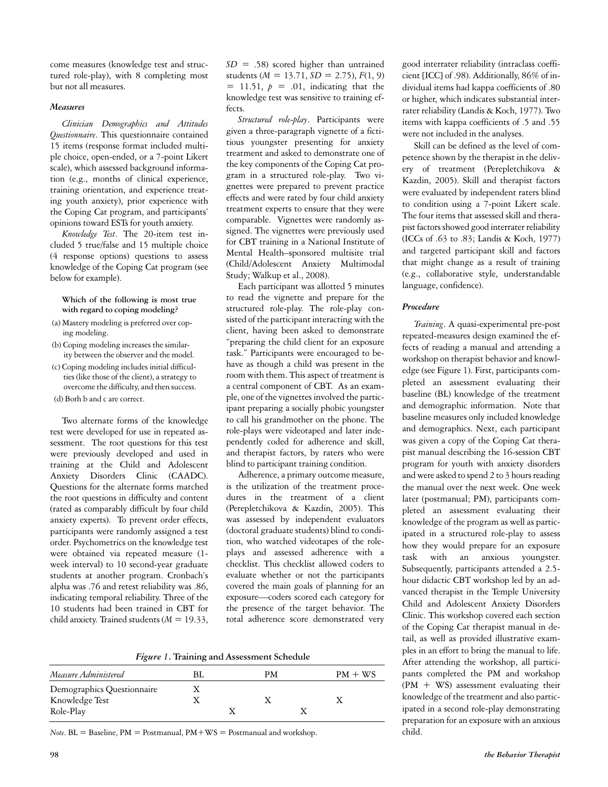come measures (knowledge test and structured role-play), with 8 completing most but not all measures.

#### *Measures*

*Clinician Demographics and Attitudes Questionnaire*. This questionnaire contained 15 items (response format included multiple choice, open-ended, or a 7-point Likert scale), which assessed background information (e.g., months of clinical experience, training orientation, and experience treating youth anxiety), prior experience with the Coping Cat program, and participants' opinions toward ESTs for youth anxiety.

*Knowledge Test*. The 20-item test included 5 true/false and 15 multiple choice (4 response options) questions to assess knowledge of the Coping Cat program (see below for example).

#### **Which of the following is most true with regard to coping modeling?**

- (a) Mastery modeling is preferred over coping modeling.
- (b) Coping modeling increases the similarity between the observer and the model.
- (c) Coping modeling includes initial difficulties (like those of the client), a strategy to overcome the difficulty, and then success.
- (d) Both b and c are correct.

Two alternate forms of the knowledge test were developed for use in repeated assessment. The root questions for this test were previously developed and used in training at the Child and Adolescent Anxiety Disorders Clinic (CAADC). Questions for the alternate forms matched the root questions in difficulty and content (rated as comparably difficult by four child anxiety experts). To prevent order effects, participants were randomly assigned a test order. Psychometrics on the knowledge test were obtained via repeated measure (1 week interval) to 10 second-year graduate students at another program. Cronbach's alpha was .76 and retest reliability was .86, indicating temporal reliability. Three of the 10 students had been trained in CBT for child anxiety. Trained students (*M* = 19.33,

*SD* = .58) scored higher than untrained students (*M* = 13.71, *SD* = 2.75), *F*(1, 9)  $= 11.51, p = .01,$  indicating that the knowledge test was sensitive to training effects.

*Structured role-play*. Participants were given a three-paragraph vignette of a fictitious youngster presenting for anxiety treatment and asked to demonstrate one of the key components of the Coping Cat program in a structured role-play. Two vignettes were prepared to prevent practice effects and were rated by four child anxiety treatment experts to ensure that they were comparable. Vignettes were randomly assigned. The vignettes were previously used for CBT training in a National Institute of Mental Health–sponsored multisite trial (Child/Adolescent Anxiety Multimodal Study; Walkup et al., 2008).

Each participant was allotted 5 minutes to read the vignette and prepare for the structured role-play. The role-play consisted of the participant interacting with the client, having been asked to demonstrate "preparing the child client for an exposure task." Participants were encouraged to behave as though a child was present in the room with them. This aspect of treatment is a central component of CBT. As an example, one of the vignettes involved the participant preparing a socially phobic youngster to call his grandmother on the phone. The role-plays were videotaped and later independently coded for adherence and skill, and therapist factors, by raters who were blind to participant training condition.

Adherence, a primary outcome measure, is the utilization of the treatment procedures in the treatment of a client (Perepletchikova & Kazdin, 2005). This was assessed by independent evaluators (doctoral graduate students) blind to condition, who watched videotapes of the roleplays and assessed adherence with a checklist. This checklist allowed coders to evaluate whether or not the participants covered the main goals of planning for an exposure—coders scored each category for the presence of the target behavior. The total adherence score demonstrated very

*Figure 1***. Training and Assessment Schedule** 

| Measure Administered       |  | PМ | $PM + WS$ |
|----------------------------|--|----|-----------|
| Demographics Questionnaire |  |    |           |
| Knowledge Test             |  |    |           |
| Role-Play                  |  |    |           |

*Note*. BL = Baseline, PM = Postmanual, PM + WS = Postmanual and workshop.

good interrater reliability (intraclass coefficient [ICC] of .98). Additionally, 86% of individual items had kappa coefficients of .80 or higher, which indicates substantial interrater reliability (Landis & Koch, 1977). Two items with kappa coefficients of .5 and .55 were not included in the analyses.

Skill can be defined as the level of competence shown by the therapist in the delivery of treatment (Perepletchikova & Kazdin, 2005). Skill and therapist factors were evaluated by independent raters blind to condition using a 7-point Likert scale. The four items that assessed skill and therapist factors showed good interrater reliability (ICCs of .63 to .83; Landis & Koch, 1977) and targeted participant skill and factors that might change as a result of training (e.g., collaborative style, understandable language, confidence).

#### *Procedure*

*Training*. A quasi-experimental pre-post repeated-measures design examined the effects of reading a manual and attending a workshop on therapist behavior and knowledge (see Figure 1). First, participants completed an assessment evaluating their baseline (BL) knowledge of the treatment and demographic information. Note that baseline measures only included knowledge and demographics. Next, each participant was given a copy of the Coping Cat therapist manual describing the 16-session CBT program for youth with anxiety disorders and were asked to spend 2 to 3 hours reading the manual over the next week. One week later (postmanual; PM), participants completed an assessment evaluating their knowledge of the program as well as participated in a structured role-play to assess how they would prepare for an exposure task with an anxious youngster. Subsequently, participants attended a 2.5 hour didactic CBT workshop led by an advanced therapist in the Temple University Child and Adolescent Anxiety Disorders Clinic. This workshop covered each section of the Coping Cat therapist manual in detail, as well as provided illustrative examples in an effort to bring the manual to life. After attending the workshop, all participants completed the PM and workshop (PM + WS) assessment evaluating their knowledge of the treatment and also participated in a second role-play demonstrating preparation for an exposure with an anxious child.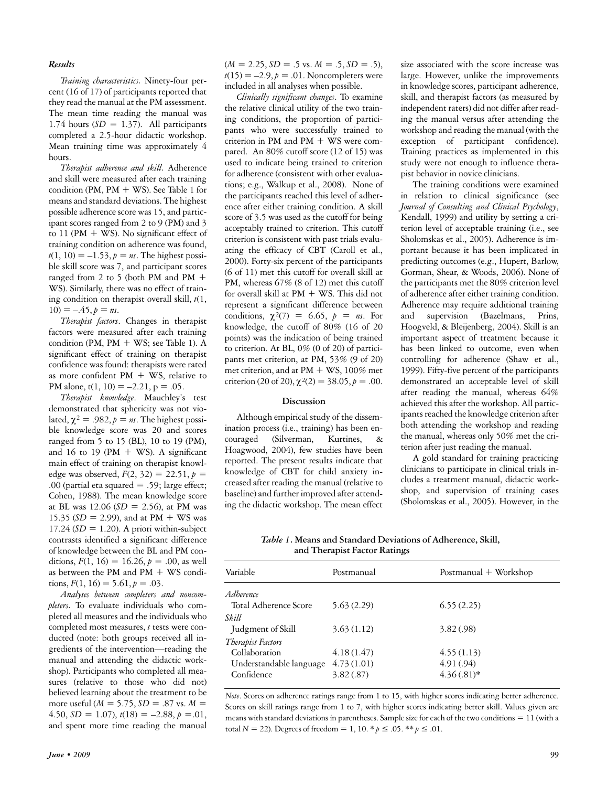#### *Results*

*Training characteristics.* Ninety-four percent (16 of 17) of participants reported that they read the manual at the PM assessment. The mean time reading the manual was 1.74 hours  $(SD = 1.37)$ . All participants completed a 2.5-hour didactic workshop. Mean training time was approximately 4 hours.

*Therapist adherence and skill.* Adherence and skill were measured after each training condition (PM, PM  $+$  WS). See Table 1 for means and standard deviations. The highest possible adherence score was 15, and participant scores ranged from 2 to 9 (PM) and 3 to 11 (PM  $+$  WS). No significant effect of training condition on adherence was found,  $t(1, 10) = -1.53$ ,  $p = ns$ . The highest possible skill score was 7, and participant scores ranged from 2 to 5 (both PM and PM + WS). Similarly, there was no effect of training condition on therapist overall skill, *t*(1,  $10) = -.45, p = ns.$ 

*Therapist factors*. Changes in therapist factors were measured after each training condition (PM, PM  $+$  WS; see Table 1). A significant effect of training on therapist confidence was found: therapists were rated as more confident  $PM + WS$ , relative to PM alone,  $t(1, 10) = -2.21$ ,  $p = .05$ .

*Therapist knowledge*. Mauchley's test demonstrated that sphericity was not violated,  $\chi^2 = .982$ ,  $p = ns$ . The highest possible knowledge score was 20 and scores ranged from 5 to 15 (BL), 10 to 19 (PM), and 16 to 19 (PM  $+$  WS). A significant main effect of training on therapist knowledge was observed,  $F(2, 32) = 22.51, p =$ .00 (partial eta squared  $=$  .59; large effect; Cohen, 1988). The mean knowledge score at BL was 12.06 (*SD* = 2.56), at PM was 15.35 (*SD* = 2.99), and at PM + WS was  $17.24$  ( $SD = 1.20$ ). A priori within-subject contrasts identified a significant difference of knowledge between the BL and PM conditions,  $F(1, 16) = 16.26$ ,  $p = .00$ , as well as between the PM and PM + WS conditions,  $F(1, 16) = 5.61, p = .03$ .

*Analyses between completers and noncompleters.* To evaluate individuals who completed all measures and the individuals who completed most measures, *t* tests were conducted (note: both groups received all ingredients of the intervention—reading the manual and attending the didactic workshop). Participants who completed all measures (relative to those who did not) believed learning about the treatment to be more useful (*M* = 5.75, *SD* = .87 vs. *M* =  $4.50, SD = 1.07$ ,  $t(18) = -2.88, p = .01$ , and spent more time reading the manual

 $(M = 2.25, SD = .5$  vs.  $M = .5, SD = .5$ ),  $t(15) = -2.9, p = .01$ . Noncompleters were included in all analyses when possible.

*Clinically significant changes*. To examine the relative clinical utility of the two training conditions, the proportion of participants who were successfully trained to criterion in PM and PM + WS were compared. An 80% cutoff score (12 of 15) was used to indicate being trained to criterion for adherence (consistent with other evaluations; e.g., Walkup et al., 2008). None of the participants reached this level of adherence after either training condition. A skill score of 3.5 was used as the cutoff for being acceptably trained to criterion. This cutoff criterion is consistent with past trials evaluating the efficacy of CBT (Caroll et al., 2000). Forty-six percent of the participants (6 of 11) met this cutoff for overall skill at PM, whereas 67% (8 of 12) met this cutoff for overall skill at  $PM + WS$ . This did not represent a significant difference between conditions,  $\chi^2(7) = 6.65$ ,  $p = ns$ . For knowledge, the cutoff of 80% (16 of 20 points) was the indication of being trained to criterion. At BL, 0% (0 of 20) of participants met criterion, at PM, 53% (9 of 20) met criterion, and at PM + WS, 100% met criterion (20 of 20),  $\chi^2(2) = 38.05$ ,  $p = .00$ .

#### **Discussion**

Although empirical study of the dissemination process (i.e., training) has been encouraged (Silverman, Kurtines, & Hoagwood, 2004), few studies have been reported. The present results indicate that knowledge of CBT for child anxiety increased after reading the manual (relative to baseline) and further improved after attending the didactic workshop. The mean effect

size associated with the score increase was large. However, unlike the improvements in knowledge scores, participant adherence, skill, and therapist factors (as measured by independent raters) did not differ after reading the manual versus after attending the workshop and reading the manual (with the exception of participant confidence). Training practices as implemented in this study were not enough to influence therapist behavior in novice clinicians.

The training conditions were examined in relation to clinical significance (see *Journal of Consulting and Clinical Psychology*, Kendall, 1999) and utility by setting a criterion level of acceptable training (i.e., see Sholomskas et al., 2005). Adherence is important because it has been implicated in predicting outcomes (e.g., Hupert, Barlow, Gorman, Shear, & Woods, 2006). None of the participants met the 80% criterion level of adherence after either training condition. Adherence may require additional training and supervision (Bazelmans, Prins, Hoogveld, & Bleijenberg, 2004). Skill is an important aspect of treatment because it has been linked to outcome, even when controlling for adherence (Shaw et al., 1999). Fifty-five percent of the participants demonstrated an acceptable level of skill after reading the manual, whereas 64% achieved this after the workshop. All participants reached the knowledge criterion after both attending the workshop and reading the manual, whereas only 50% met the criterion after just reading the manual.

A gold standard for training practicing clinicians to participate in clinical trials includes a treatment manual, didactic workshop, and supervision of training cases (Sholomskas et al., 2005). However, in the

*Table 1***. Means and Standard Deviations of Adherence, Skill, and Therapist Factor Ratings** 

| Variable                | Postmanual | Postmanual $+$ Workshop |  |  |
|-------------------------|------------|-------------------------|--|--|
| Adherence               |            |                         |  |  |
| Total Adherence Score   | 5.63(2.29) | 6.55(2.25)              |  |  |
| Skill                   |            |                         |  |  |
| Judgment of Skill       | 3.63(1.12) | 3.82(.98)               |  |  |
| Therapist Factors       |            |                         |  |  |
| Collaboration           | 4.18(1.47) | 4.55(1.13)              |  |  |
| Understandable language | 4.73(1.01) | 4.91 (.94)              |  |  |
| Confidence              | 3.82(.87)  | $4.36(.81)*$            |  |  |
|                         |            |                         |  |  |

*Note*. Scores on adherence ratings range from 1 to 15, with higher scores indicating better adherence. Scores on skill ratings range from 1 to 7, with higher scores indicating better skill. Values given are means with standard deviations in parentheses. Sample size for each of the two conditions = 11 (with a total *N* = 22). Degrees of freedom = 1, 10. \*  $p \le 0.05$ . \*\*  $p \le 0.01$ .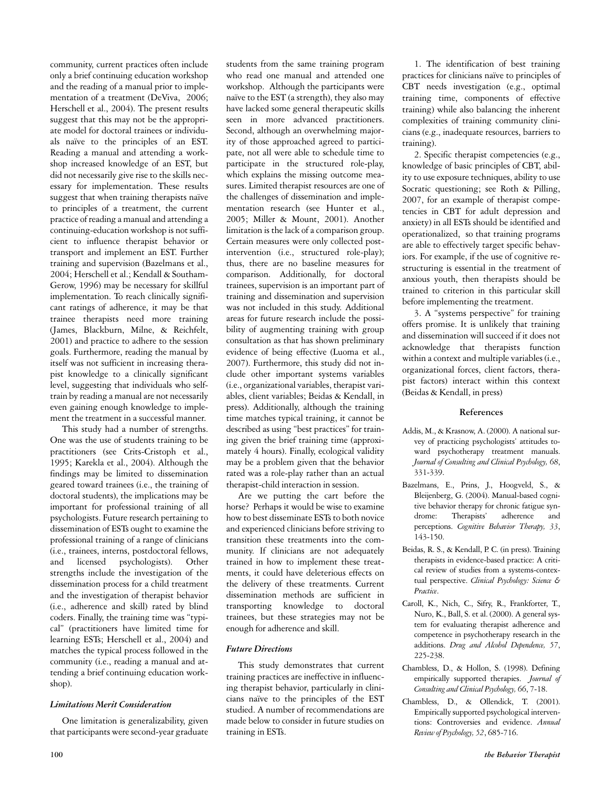community, current practices often include only a brief continuing education workshop and the reading of a manual prior to implementation of a treatment (DeViva, 2006; Herschell et al., 2004). The present results suggest that this may not be the appropriate model for doctoral trainees or individuals naïve to the principles of an EST. Reading a manual and attending a workshop increased knowledge of an EST, but did not necessarily give rise to the skills necessary for implementation. These results suggest that when training therapists naïve to principles of a treatment, the current practice of reading a manual and attending a continuing-education workshop is not sufficient to influence therapist behavior or transport and implement an EST. Further training and supervision (Bazelmans et al., 2004; Herschell et al.; Kendall & Southam-Gerow, 1996) may be necessary for skillful implementation. To reach clinically significant ratings of adherence, it may be that trainee therapists need more training (James, Blackburn, Milne, & Reichfelt, 2001) and practice to adhere to the session goals. Furthermore, reading the manual by itself was not sufficient in increasing therapist knowledge to a clinically significant level, suggesting that individuals who selftrain by reading a manual are not necessarily even gaining enough knowledge to implement the treatment in a successful manner.

This study had a number of strengths. One was the use of students training to be practitioners (see Crits-Cristoph et al., 1995; Karekla et al., 2004). Although the findings may be limited to dissemination geared toward trainees (i.e., the training of doctoral students), the implications may be important for professional training of all psychologists. Future research pertaining to dissemination of ESTs ought to examine the professional training of a range of clinicians (i.e., trainees, interns, postdoctoral fellows, and licensed psychologists). Other strengths include the investigation of the dissemination process for a child treatment and the investigation of therapist behavior (i.e., adherence and skill) rated by blind coders. Finally, the training time was "typical" (practitioners have limited time for learning ESTs; Herschell et al., 2004) and matches the typical process followed in the community (i.e., reading a manual and attending a brief continuing education workshop).

#### *Limitations Merit Consideration*

One limitation is generalizability, given that participants were second-year graduate students from the same training program who read one manual and attended one workshop. Although the participants were naïve to the EST (a strength), they also may have lacked some general therapeutic skills seen in more advanced practitioners. Second, although an overwhelming majority of those approached agreed to participate, not all were able to schedule time to participate in the structured role-play, which explains the missing outcome measures. Limited therapist resources are one of the challenges of dissemination and implementation research (see Hunter et al., 2005; Miller & Mount, 2001). Another limitation is the lack of a comparison group. Certain measures were only collected postintervention (i.e., structured role-play); thus, there are no baseline measures for comparison. Additionally, for doctoral trainees, supervision is an important part of training and dissemination and supervision was not included in this study. Additional areas for future research include the possibility of augmenting training with group consultation as that has shown preliminary evidence of being effective (Luoma et al., 2007). Furthermore, this study did not include other important systems variables (i.e., organizational variables, therapist variables, client variables; Beidas & Kendall, in press). Additionally, although the training time matches typical training, it cannot be described as using "best practices" for training given the brief training time (approximately 4 hours). Finally, ecological validity may be a problem given that the behavior rated was a role-play rather than an actual therapist-child interaction in session.

Are we putting the cart before the horse? Perhaps it would be wise to examine how to best disseminate ESTs to both novice and experienced clinicians before striving to transition these treatments into the community. If clinicians are not adequately trained in how to implement these treatments, it could have deleterious effects on the delivery of these treatments. Current dissemination methods are sufficient in transporting knowledge to doctoral trainees, but these strategies may not be enough for adherence and skill.

#### *Future Directions*

This study demonstrates that current training practices are ineffective in influencing therapist behavior, particularly in clinicians naïve to the principles of the EST studied. A number of recommendations are made below to consider in future studies on training in ESTs.

1. The identification of best training practices for clinicians naïve to principles of CBT needs investigation (e.g., optimal training time, components of effective training) while also balancing the inherent complexities of training community clinicians (e.g., inadequate resources, barriers to training).

2. Specific therapist competencies (e.g., knowledge of basic principles of CBT, ability to use exposure techniques, ability to use Socratic questioning; see Roth & Pilling, 2007, for an example of therapist competencies in CBT for adult depression and anxiety) in all ESTs should be identified and operationalized, so that training programs are able to effectively target specific behaviors. For example, if the use of cognitive restructuring is essential in the treatment of anxious youth, then therapists should be trained to criterion in this particular skill before implementing the treatment.

3. A "systems perspective" for training offers promise. It is unlikely that training and dissemination will succeed if it does not acknowledge that therapists function within a context and multiple variables (i.e., organizational forces, client factors, therapist factors) interact within this context (Beidas & Kendall, in press)

#### **References**

- Addis, M., & Krasnow, A. (2000). A national survey of practicing psychologists' attitudes toward psychotherapy treatment manuals. *Journal of Consulting and Clinical Psychology, 68*, 331-339.
- Bazelmans, E., Prins, J., Hoogveld, S., & Bleijenberg, G. (2004). Manual-based cognitive behavior therapy for chronic fatigue syndrome: Therapists' adherence and perceptions. *Cognitive Behavior Therapy, 33*, 143-150.
- Beidas, R. S., & Kendall, P. C. (in press). Training therapists in evidence-based practice: A critical review of studies from a systems-contextual perspective. *Clinical Psychology: Science & Practice*.
- Caroll, K., Nich, C., Sifry, R., Frankforter, T., Nuro, K., Ball, S. et al. (2000). A general system for evaluating therapist adherence and competence in psychotherapy research in the additions. *Drug and Alcohol Dependence, 57*, 225-238.
- Chambless, D., & Hollon, S. (1998). Defining empirically supported therapies. *Journal of Consulting and Clinical Psychology, 66*, 7-18.
- Chambless, D., & Ollendick, T. (2001). Empirically supported psychological interventions: Controversies and evidence. *Annual Review of Psychology, 52*, 685-716.